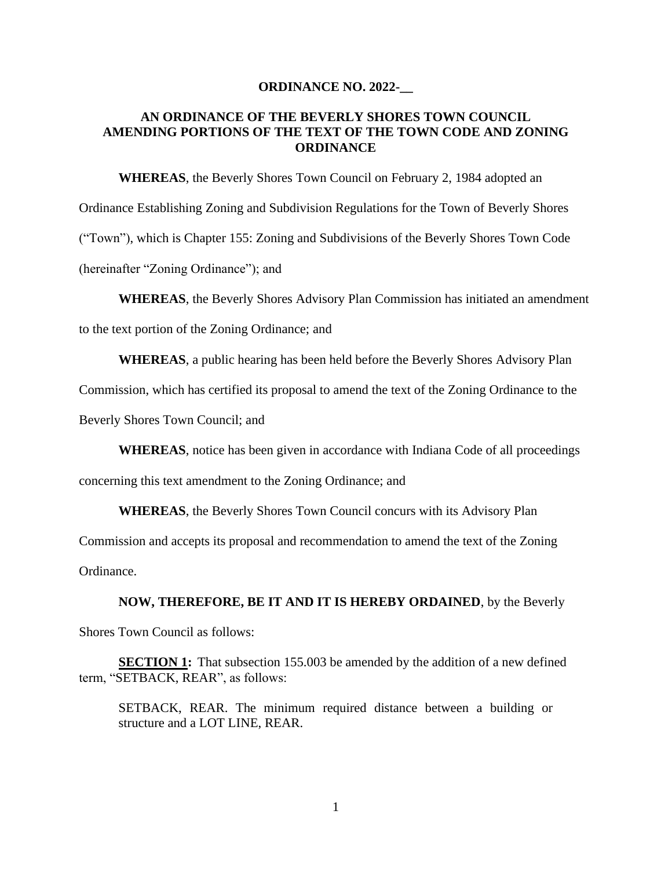## **ORDINANCE NO. 2022-\_\_**

## **AN ORDINANCE OF THE BEVERLY SHORES TOWN COUNCIL AMENDING PORTIONS OF THE TEXT OF THE TOWN CODE AND ZONING ORDINANCE**

**WHEREAS**, the Beverly Shores Town Council on February 2, 1984 adopted an Ordinance Establishing Zoning and Subdivision Regulations for the Town of Beverly Shores ("Town"), which is Chapter 155: Zoning and Subdivisions of the Beverly Shores Town Code (hereinafter "Zoning Ordinance"); and

**WHEREAS**, the Beverly Shores Advisory Plan Commission has initiated an amendment

to the text portion of the Zoning Ordinance; and

**WHEREAS**, a public hearing has been held before the Beverly Shores Advisory Plan

Commission, which has certified its proposal to amend the text of the Zoning Ordinance to the

Beverly Shores Town Council; and

**WHEREAS**, notice has been given in accordance with Indiana Code of all proceedings

concerning this text amendment to the Zoning Ordinance; and

**WHEREAS**, the Beverly Shores Town Council concurs with its Advisory Plan

Commission and accepts its proposal and recommendation to amend the text of the Zoning

Ordinance.

**NOW, THEREFORE, BE IT AND IT IS HEREBY ORDAINED**, by the Beverly

Shores Town Council as follows:

**SECTION 1:** That subsection 155.003 be amended by the addition of a new defined term, "SETBACK, REAR", as follows:

SETBACK, REAR. The minimum required distance between a building or structure and a LOT LINE, REAR.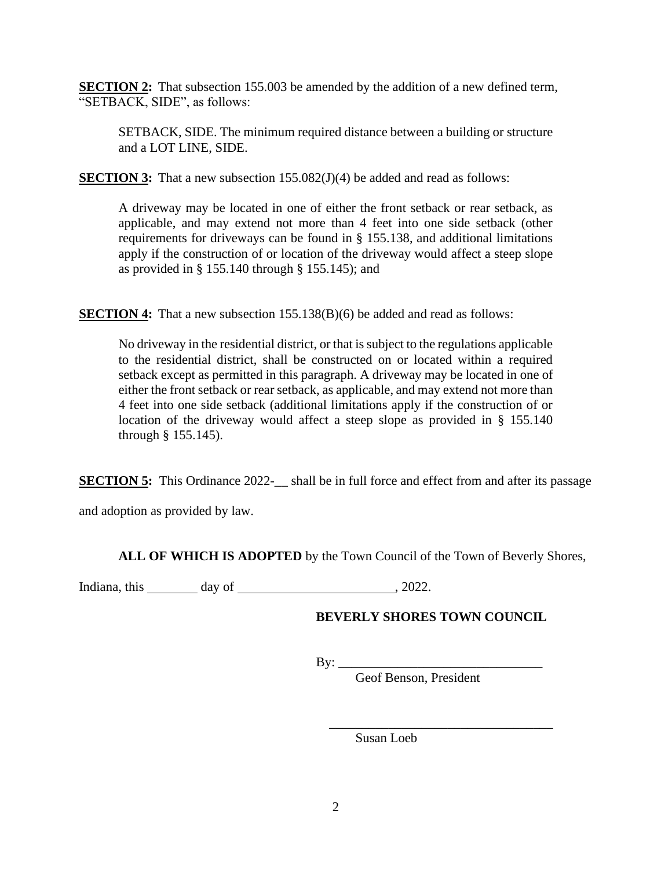**SECTION 2:** That subsection 155.003 be amended by the addition of a new defined term, "SETBACK, SIDE", as follows:

SETBACK, SIDE. The minimum required distance between a building or structure and a LOT LINE, SIDE.

**SECTION 3:** That a new subsection 155.082(J)(4) be added and read as follows:

A driveway may be located in one of either the front setback or rear setback, as applicable, and may extend not more than 4 feet into one side setback (other requirements for driveways can be found in § 155.138, and additional limitations apply if the construction of or location of the driveway would affect a steep slope as provided in § 155.140 through § 155.145); and

**SECTION 4:** That a new subsection 155.138(B)(6) be added and read as follows:

No driveway in the residential district, or that is subject to the regulations applicable to the residential district, shall be constructed on or located within a required setback except as permitted in this paragraph. A driveway may be located in one of either the front setback or rear setback, as applicable, and may extend not more than 4 feet into one side setback (additional limitations apply if the construction of or location of the driveway would affect a steep slope as provided in § 155.140 through § 155.145).

**SECTION 5:** This Ordinance 2022-<br>shall be in full force and effect from and after its passage

and adoption as provided by law.

**ALL OF WHICH IS ADOPTED** by the Town Council of the Town of Beverly Shores,

Indiana, this day of , 2022.

## **BEVERLY SHORES TOWN COUNCIL**

 $\overline{\phantom{a}}$  , which is the set of the set of the set of the set of the set of the set of the set of the set of the set of the set of the set of the set of the set of the set of the set of the set of the set of the set of

 $\text{By:}\_\_\$ 

Geof Benson, President

Susan Loeb